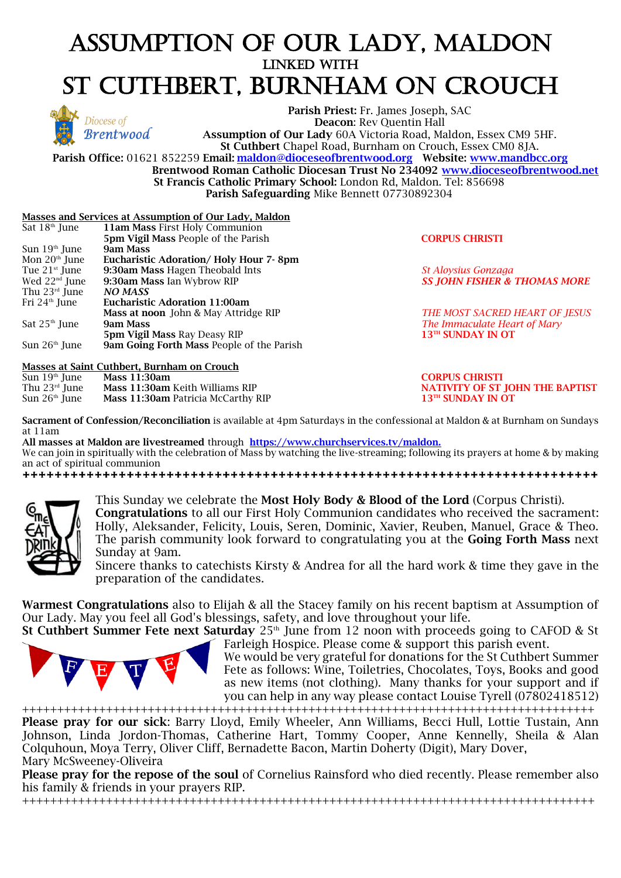# ASSUMPTION OF OUR LADY, MALDON LINKED WITH ST CUTHBERT, BURNHAM ON CROUCH



**Parish Priest:** Fr. James Joseph, SAC **Deacon**: Rev Quentin Hall **Assumption of Our Lady** 60A Victoria Road, Maldon, Essex CM9 5HF. **St Cuthbert** Chapel Road, Burnham on Crouch, Essex CM0 8JA.

**Parish Office:** 01621 852259 **Email: [maldon@dioceseofbrentwood.org](mailto:maldon@dioceseofbrentwood.org) Website: [www.mandbcc.org](http://www.mandbcc.org/) Brentwood Roman Catholic Diocesan Trust No 234092 [www.dioceseofbrentwood.net](http://www.dioceseofbrentwood.net/) St Francis Catholic Primary School:** London Rd, Maldon. Tel: 856698

**Parish Safeguarding** Mike Bennett 07730892304

#### **Masses and Services at Assumption of Our Lady, Maldon**

| Sat $18th$ June | <b>11am Mass First Holy Communion</b>            |  |
|-----------------|--------------------------------------------------|--|
|                 | <b>5pm Vigil Mass People of the Parish</b>       |  |
| Sun $19th$ June | 9am Mass                                         |  |
| Mon $20th$ June | Eucharistic Adoration/Holy Hour 7-8pm            |  |
| Tue $21st$ June | 9:30am Mass Hagen Theobald Ints                  |  |
| Wed $22nd$ June | 9:30am Mass Ian Wybrow RIP                       |  |
| Thu $23rd$ June | <b>NO MASS</b>                                   |  |
| Fri $24th$ June | <b>Eucharistic Adoration 11:00am</b>             |  |
|                 | Mass at noon John & May Attridge RIP             |  |
| Sat $25th$ June | 9am Mass                                         |  |
|                 | <b>5pm Vigil Mass Ray Deasy RIP</b>              |  |
| Sun $26th$ June | <b>9am Going Forth Mass People of the Parish</b> |  |
|                 |                                                  |  |

**Masses at Saint Cuthbert, Burnham on Crouch**

| Sun $19th$ June | <b>Mass 11:30am</b>                       |
|-----------------|-------------------------------------------|
| Thu $23rd$ June | Mass 11:30am Keith Williams RIP           |
| Sun $26th$ June | <b>Mass 11:30am Patricia McCarthy RIP</b> |

**5pm Vigil Mass** People of the Parish **CORPUS CHRISTI**

Tue 21st June **9:30am Mass** Hagen Theobald Ints *St Aloysius Gonzaga* Wed 22nd June **9:30am Mass** Ian Wybrow RIP *SS JOHN FISHER & THOMAS MORE*

**THE MOST SACRED HEART OF JESUS The Immaculate Heart of Mary**  $13^{\text{TH}}$  **SUNDAY IN OT** 

th June **Mass 11:30am CORPUS CHRISTI NATIVITY OF ST JOHN THE BAPTIST**  $13<sup>TH</sup>$  SUNDAY IN OT

**Sacrament of Confession/Reconciliation** is available at 4pm Saturdays in the confessional at Maldon & at Burnham on Sundays at 11am

**All masses at Maldon are livestreamed** through **<https://www.churchservices.tv/maldon.>** We can join in spiritually with the celebration of Mass by watching the live-streaming; following its prayers at home & by making an act of spiritual communion

**++++++++++++++++++++++++++++++++++++++++++++++++++++++++++++++++++++++++** 



This Sunday we celebrate the **Most Holy Body & Blood of the Lord** (Corpus Christi). **Congratulations** to all our First Holy Communion candidates who received the sacrament: Holly, Aleksander, Felicity, Louis, Seren, Dominic, Xavier, Reuben, Manuel, Grace & Theo. The parish community look forward to congratulating you at the **Going Forth Mass** next Sunday at 9am.

Sincere thanks to catechists Kirsty & Andrea for all the hard work & time they gave in the preparation of the candidates.

**Warmest Congratulations** also to Elijah & all the Stacey family on his recent baptism at Assumption of Our Lady. May you feel all God's blessings, safety, and love throughout your life.

**St Cuthbert Summer Fete next Saturday** 25<sup>th</sup> June from 12 noon with proceeds going to CAFOD & St Farleigh Hospice. Please come & support this parish event.

We would be very grateful for donations for the St Cuthbert Summer Fete as follows: Wine, Toiletries, Chocolates, Toys, Books and good as new items (not clothing). Many thanks for your support and if you can help in any way please contact Louise Tyrell (07802418512) ++++++++++++++++++++++++++++++++++++++++++++++++++++++++++++++++++++++++++++++++++

**Please pray for our sick**: Barry Lloyd, Emily Wheeler, Ann Williams, Becci Hull, Lottie Tustain, Ann Johnson, Linda Jordon-Thomas, Catherine Hart, Tommy Cooper, Anne Kennelly, Sheila & Alan Colquhoun, Moya Terry, Oliver Cliff, Bernadette Bacon, Martin Doherty (Digit), Mary Dover, Mary McSweeney-Oliveira

**Please pray for the repose of the soul** of Cornelius Rainsford who died recently. Please remember also his family & friends in your prayers RIP.

++++++++++++++++++++++++++++++++++++++++++++++++++++++++++++++++++++++++++++++++++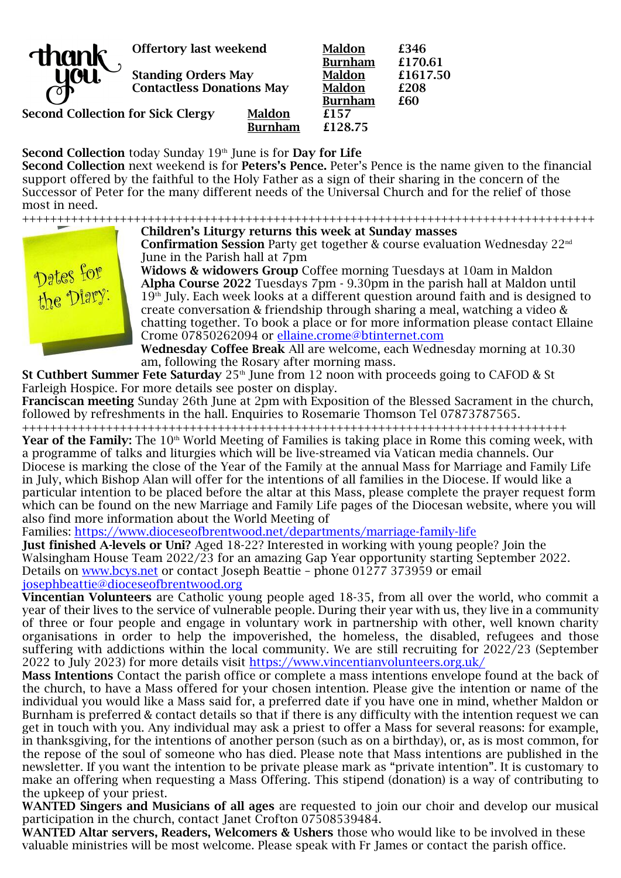

**Offertory last weekend Maldon £346**

**Standing Orders May Maldon £1617.50 Contactless Donations May Maldon £208**

**Second Collection for Sick Clergy Maldon £157** 

**Burnham £170.61 Burnham £60 Burnham £128.75**

**Second Collection** today Sunday 19<sup>th</sup> June is for **Day for Life** 

**Second Collection** next weekend is for **Peters's Pence.** Peter's Pence is the name given to the financial support offered by the faithful to the Holy Father as a sign of their sharing in the concern of the Successor of Peter for the many different needs of the Universal Church and for the relief of those most in need.

++++++++++++++++++++++++++++++++++++++++++++++++++++++++++++++++++++++++++++++++++ **Children's Liturgy returns this week at Sunday masses**

**Confirmation Session** Party get together & course evaluation Wednesday 22nd June in the Parish hall at 7pm

**Widows & widowers Group** Coffee morning Tuesdays at 10am in Maldon **Alpha Course 2022** Tuesdays 7pm - 9.30pm in the parish hall at Maldon until  $19<sup>th</sup>$  July. Each week looks at a different question around faith and is designed to create conversation & friendship through sharing a meal, watching a video & chatting together. To book a place or for more information please contact Ellaine Crome 07850262094 or [ellaine.crome@btinternet.com](mailto:ellaine.crome@btinternet.com)

**Wednesday Coffee Break** All are welcome, each Wednesday morning at 10.30 am, following the Rosary after morning mass.

**St Cuthbert Summer Fete Saturday** 25<sup>th</sup> June from 12 noon with proceeds going to CAFOD & St Farleigh Hospice. For more details see poster on display.

**Franciscan meeting** Sunday 26th June at 2pm with Exposition of the Blessed Sacrament in the church, followed by refreshments in the hall. Enquiries to Rosemarie Thomson Tel 07873787565.

++++++++++++++++++++++++++++++++++++++++++++++++++++++++++++++++++++++++++++++ Year of the Family: The 10<sup>th</sup> World Meeting of Families is taking place in Rome this coming week, with a programme of talks and liturgies which will be live-streamed via Vatican media channels. Our Diocese is marking the close of the Year of the Family at the annual Mass for Marriage and Family Life in July, which Bishop Alan will offer for the intentions of all families in the Diocese. If would like a particular intention to be placed before the altar at this Mass, please complete the prayer request form which can be found on the new Marriage and Family Life pages of the Diocesan website, where you will also find more information about the World Meeting of

Families: [https://www.dioceseofbrentwood.net/departments/marriage-family-life](https://www.dioceseofbrentwood.net/departments/marriage-family-life/x-world-meeting-of-families/)

**Just finished A-levels or Uni?** Aged 18-22? Interested in working with young people? Join the Walsingham House Team 2022/23 for an amazing Gap Year opportunity starting September 2022. Details on [www.bcys.net](http://www.bcys.net/) or contact Joseph Beattie – phone 01277 373959 or email [josephbeattie@dioceseofbrentwood.org](mailto:josephbeattie@dioceseofbrentwood.org)

**Vincentian Volunteers** are Catholic young people aged 18-35, from all over the world, who commit a year of their lives to the service of vulnerable people. During their year with us, they live in a community of three or four people and engage in voluntary work in partnership with other, well known charity organisations in order to help the impoverished, the homeless, the disabled, refugees and those suffering with addictions within the local community. We are still recruiting for 2022/23 (September 2022 to July 2023) for more details visit<https://www.vincentianvolunteers.org.uk/>

**Mass Intentions** Contact the parish office or complete a mass intentions envelope found at the back of the church, to have a Mass offered for your chosen intention. Please give the intention or name of the individual you would like a Mass said for, a preferred date if you have one in mind, whether Maldon or Burnham is preferred & contact details so that if there is any difficulty with the intention request we can get in touch with you. Any individual may ask a priest to offer a Mass for several reasons: for example, in thanksgiving, for the intentions of another person (such as on a birthday), or, as is most common, for the repose of the soul of someone who has died. Please note that Mass intentions are published in the newsletter. If you want the intention to be private please mark as "private intention". It is customary to make an offering when requesting a Mass Offering. This stipend (donation) is a way of contributing to the upkeep of your priest.

**WANTED Singers and Musicians of all ages** are requested to join our choir and develop our musical participation in the church, contact Janet Crofton 07508539484.

**WANTED Altar servers, Readers, Welcomers & Ushers** those who would like to be involved in these valuable ministries will be most welcome. Please speak with Fr James or contact the parish office.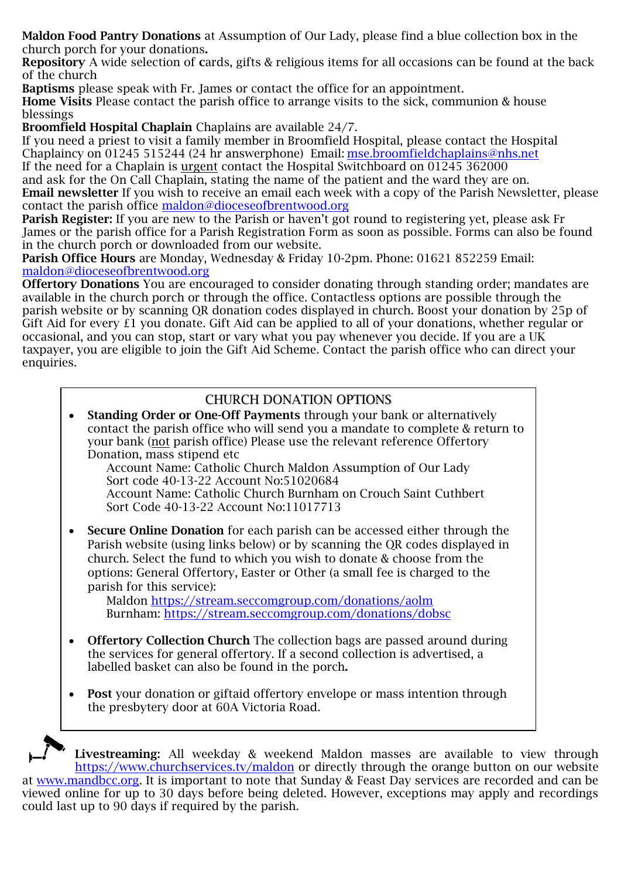**Maldon Food Pantry Donations** at Assumption of Our Lady, please find a blue collection box in the church porch for your donations**.** 

**Repository** A wide selection of **c**ards, gifts & religious items for all occasions can be found at the back of the church

**Baptisms** please speak with Fr. James or contact the office for an appointment.

**Home Visits** Please contact the parish office to arrange visits to the sick, communion & house blessings

**Broomfield Hospital Chaplain** Chaplains are available 24/7.

If you need a priest to visit a family member in Broomfield Hospital, please contact the Hospital Chaplaincy on 01245 515244 (24 hr answerphone) Email: [mse.broomfieldchaplains@nhs.net](mailto:mse.broomfieldchaplains@nhs.net)  If the need for a Chaplain is urgent contact the Hospital Switchboard on 01245 362000

and ask for the On Call Chaplain, stating the name of the patient and the ward they are on. **Email newsletter** If you wish to receive an email each week with a copy of the Parish Newsletter, please contact the parish office [maldon@dioceseofbrentwood.org](mailto:maldon@dioceseofbrentwood.org)

**Parish Register:** If you are new to the Parish or haven't got round to registering yet, please ask Fr James or the parish office for a Parish Registration Form as soon as possible. Forms can also be found in the church porch or downloaded from our website.

**Parish Office Hours** are Monday, Wednesday & Friday 10-2pm. Phone: 01621 852259 Email: [maldon@dioceseofbrentwood.org](mailto:maldon@dioceseofbrentwood.org)

**Offertory Donations** You are encouraged to consider donating through standing order; mandates are available in the church porch or through the office. Contactless options are possible through the parish website or by scanning QR donation codes displayed in church. Boost your donation by 25p of Gift Aid for every £1 you donate. Gift Aid can be applied to all of your donations, whether regular or occasional, and you can stop, start or vary what you pay whenever you decide. If you are a UK taxpayer, you are eligible to join the Gift Aid Scheme. Contact the parish office who can direct your enquiries.

## CHURCH DONATION OPTIONS

- **Standing Order or One-Off Payments** through your bank or alternatively contact the parish office who will send you a mandate to complete & return to your bank (not parish office) Please use the relevant reference Offertory Donation, mass stipend etc Account Name: Catholic Church Maldon Assumption of Our Lady Sort code 40-13-22 Account No:51020684 Account Name: Catholic Church Burnham on Crouch Saint Cuthbert Sort Code 40-13-22 Account No:11017713 • **Secure Online Donation** for each parish can be accessed either through the
- Parish website (using links below) or by scanning the QR codes displayed in church. Select the fund to which you wish to donate & choose from the options: General Offertory, Easter or Other (a small fee is charged to the parish for this service):

Maldon <https://stream.seccomgroup.com/donations/aolm> Burnham:<https://stream.seccomgroup.com/donations/dobsc>

- **Offertory Collection Church** The collection bags are passed around during the services for general offertory. If a second collection is advertised, a labelled basket can also be found in the porch**.**
- **Post** your donation or giftaid offertory envelope or mass intention through the presbytery door at 60A Victoria Road.

**Livestreaming:** All weekday & weekend Maldon masses are available to view through <https://www.churchservices.tv/maldon> or directly through the orange button on our website at [www.mandbcc.org.](http://www.mandbcc.org/) It is important to note that Sunday & Feast Day services are recorded and can be viewed online for up to 30 days before being deleted. However, exceptions may apply and recordings could last up to 90 days if required by the parish.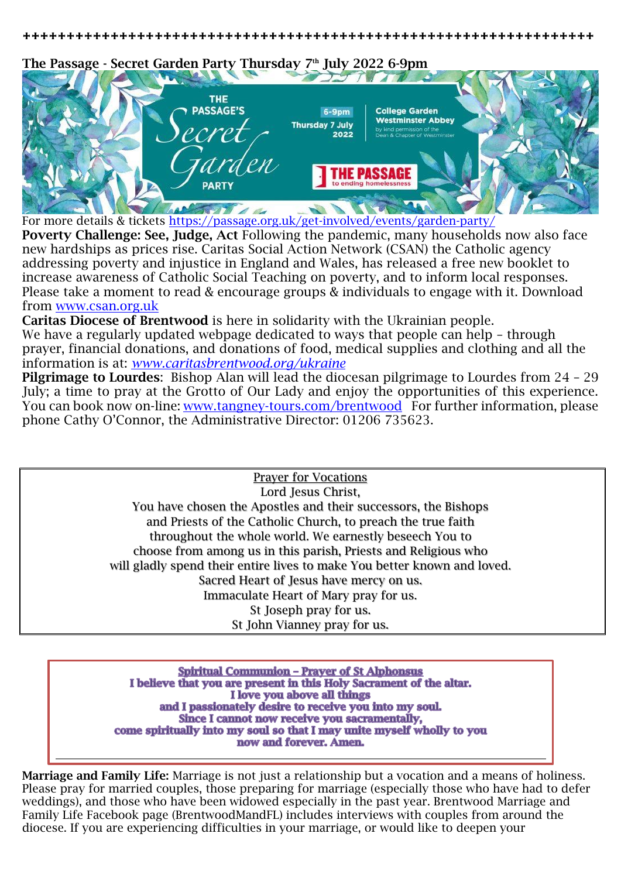**+++++++++++++++++++++++++++++++++++++++++++++++++++++++++++++++++** 

**The Passage - Secret Garden Party Thursday 7th July 2022 6-9pm**



For more details & tickets <https://passage.org.uk/get-involved/events/garden-party/>

**Poverty Challenge: See, Judge, Act** Following the pandemic, many households now also face new hardships as prices rise. Caritas Social Action Network (CSAN) the Catholic agency addressing poverty and injustice in England and Wales, has released a free new booklet to increase awareness of Catholic Social Teaching on poverty, and to inform local responses. Please take a moment to read & encourage groups & individuals to engage with it. Download from [www.csan.org.uk](http://www.csan.org.uk/)

**Caritas Diocese of Brentwood** is here in solidarity with the Ukrainian people. We have a regularly updated webpage dedicated to ways that people can help - through prayer, financial donations, and donations of food, medical supplies and clothing and all the information is at: *[www.caritasbrentwood.org/ukraine](http://www.caritasbrentwood.org/ukraine)*

**Pilgrimage to Lourdes**: Bishop Alan will lead the diocesan pilgrimage to Lourdes from 24 – 29 July; a time to pray at the Grotto of Our Lady and enjoy the opportunities of this experience. You can book now on-line: [www.tangney-tours.com/brentwood](http://www.tangney-tours.com/brentwood) For further information, please phone Cathy O'Connor, the Administrative Director: 01206 735623.

> Prayer for Vocations Lord Jesus Christ, You have chosen the Apostles and their successors, the Bishops and Priests of the Catholic Church, to preach the true faith throughout the whole world. We earnestly beseech You to choose from among us in this parish, Priests and Religious who will gladly spend their entire lives to make You better known and loved. Sacred Heart of Jesus have mercy on us. Immaculate Heart of Mary pray for us. St Joseph pray for us. St John Vianney pray for us.

**Spiritual Communion - Prayer of St Alphonsus** I believe that you are present in this Holy Sacrament of the altar. I love you above all things and I passionately desire to receive you into my soul. Since I cannot now receive you sacramentally, come spiritually into my soul so that I may unite myself wholly to you now and forever. Amen.

**Marriage and Family Life:** Marriage is not just a relationship but a vocation and a means of holiness. Please pray for married couples, those preparing for marriage (especially those who have had to defer weddings), and those who have been widowed especially in the past year. Brentwood Marriage and Family Life Facebook page (BrentwoodMandFL) includes interviews with couples from around the diocese. If you are experiencing difficulties in your marriage, or would like to deepen your